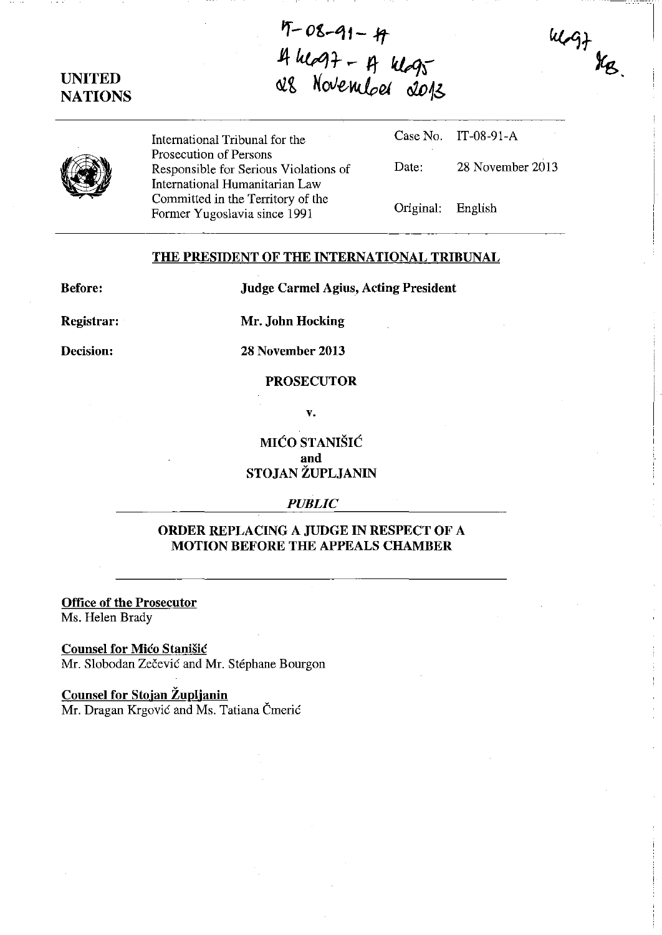# **UNITED NATIONS**

**(2)** 

**Jf-08-91-4**  $4 \log 7 - \frac{1}{4} \log 7$ **&t** KoV€-~eI **02iJ16** 

| International Tribunal for the                                      |                   | Case No. IT-08-91-A |
|---------------------------------------------------------------------|-------------------|---------------------|
| Prosecution of Persons<br>Responsible for Serious Violations of     | Date:             | 28 November 2013    |
| International Humanitarian Law<br>Committed in the Territory of the |                   |                     |
| Former Yugoslavia since 1991                                        | Original: English |                     |

 $\frac{2}{\sqrt{3}}$ 

### **THE PRESIDENT OF THE INTERNATIONAL TRIBUNAL**

**Before:** 

**Judge Carmel Agius, Acting President** 

**Registrar:** 

**Mr. John Hocking** 

**Decision:** 

**28 November 2013** 

#### **PROSECUTOR**

**v.** 

**MIĆO STANIŠIĆ and STOJAN ZUPLJANIN** 

#### *PUBLIC*

## **ORDER REPLACING A JUDGE IN RESPECT OF A MOTION BEFORE THE APPEALS CHAMBER**

**Office of the Prosecutor**  Ms. Helen Brady

**Counsel for Mico Stanisic** 

Mr. Slobodan Zečević and Mr. Stéphane Bourgon

### **Counsel for Stojan Zuplianin**

Mr. Dragan Krgović and Ms. Tatiana Čmerić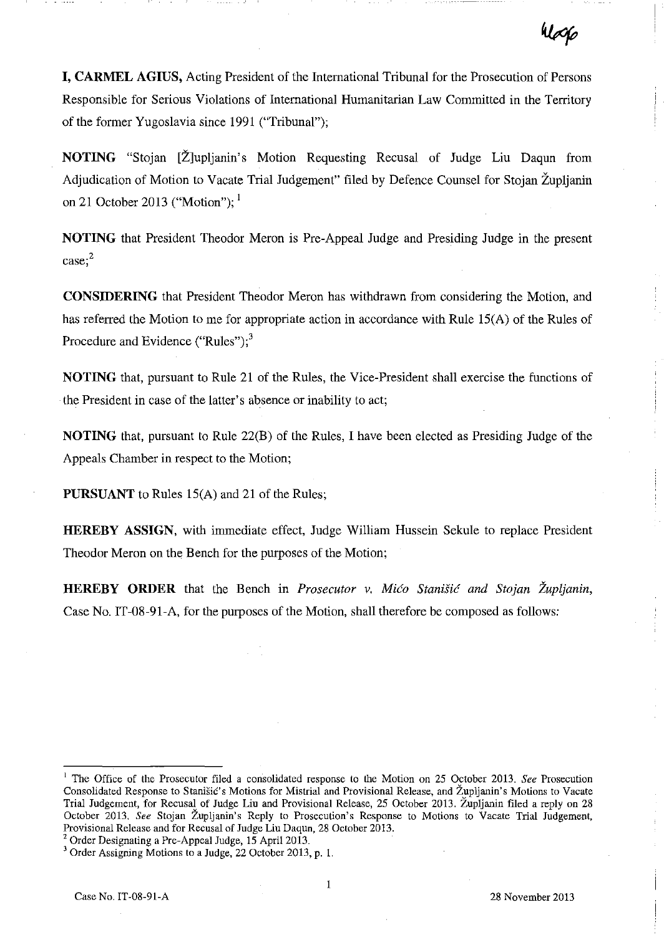**I, CARMEL AGIUS,** Acting President of the International Tribunal for the Prosecution of Persons Responsible for Serious Violations of International Humanitarian Law Committed in the Territory of the former Yugoslavia since 1991 ("Tribunal");

**NOTING** "Stojan [Zlupljanin's Motion Requesting Recusal of Judge **Liu** Daqun from Adjudication of Motion to Vacate Trial Judgement" filed by Defence Counsel for Stojan Zupljanin on 21 October 2013 ("Motion");  $<sup>1</sup>$ </sup>

**NOTING** that President Theodor Meron is Pre-Appeal Judge and Presiding Judge in the present **case;2** 

**CONSIDERING** that President Theodor Meron has withdrawn from considering the Motion, and has referred the Motion to me for appropriate action in accordance with Rule 15(A) of the Rules of Procedure and Evidence ("Rules"); $<sup>3</sup>$ </sup>

**NOTING** that, pursuant to Rule 21 of the Rules, the Vice-President shall exercise the functions of the President in case of the latter's absence or inability to act;

**NOTING** that, pursuant to Rule 22(B) of the Rules, I have been elected as Presiding Judge of the Appeals Chamber in respect to the Motion;

**PURSUANT** to Rules 15(A) and 21 of the Rules;

**HEREBY ASSIGN,** with immediate effect, Judge William Hussein Sekule to replace President Theodor Meron on the Bench for the purposes of the Motion;

**HEREBY ORDER** that the Bench in *Prosecutor v. Mico Stanistic and Stojan Zupljanin,* Case No. IT -08-91-A, for the purposes of the Motion, shall therefore be composed as follows:

<sup>&</sup>lt;sup>1</sup> The Office of the Prosecutor filed a consolidated response to the Motion on 25 October 2013. *See* Prosecution Consolidated Response to StaniSic's Motions for Mistrial and Provisional Release, and Zupljanin's Motions to Vacate Trial Judgement, for Recusal of Judge Liu and Provisional Release, 25 October 2013. Zupljanin filed a reply on 28 October 2013. *See* Stojan Zupljanin's Reply to Prosecution's Response to Motions to Vacate Trial Judgement, Provisional Release and for Recusal of Judge Liu Daqun, 28 October 2013.

<sup>&</sup>lt;sup>2</sup> Order Designating a Pre-Appeal Judge, 15 April 2013.

<sup>&</sup>lt;sup>3</sup> Order Assigning Motions to a Judge, 22 October 2013, p. 1.